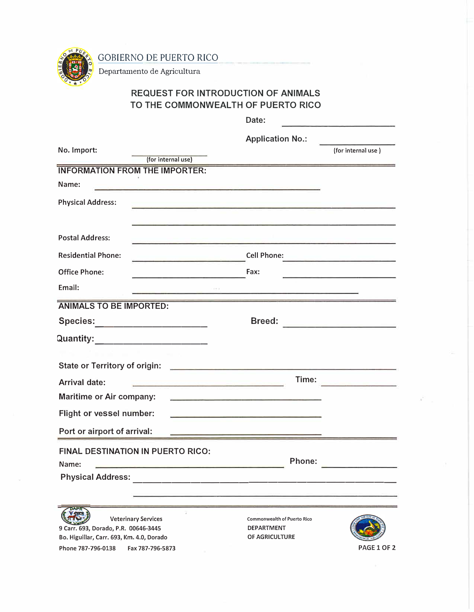GOBIERNO DE PUERTO RICO



Departamento de Agricultura

## **REQUEST FOR INTRODUCTION OF ANIMALS TO THE COMMONWEALTH OF PUERTO RICO**

|                                                                                                                                                                                                                                                                   | Date:                                                                                                                  |                                                                                                                        |
|-------------------------------------------------------------------------------------------------------------------------------------------------------------------------------------------------------------------------------------------------------------------|------------------------------------------------------------------------------------------------------------------------|------------------------------------------------------------------------------------------------------------------------|
| No. Import:                                                                                                                                                                                                                                                       | <b>Application No.:</b>                                                                                                |                                                                                                                        |
|                                                                                                                                                                                                                                                                   |                                                                                                                        | (for internal use)                                                                                                     |
| (for internal use)<br><b>INFORMATION FROM THE IMPORTER:</b>                                                                                                                                                                                                       |                                                                                                                        |                                                                                                                        |
| Name:                                                                                                                                                                                                                                                             |                                                                                                                        |                                                                                                                        |
| <u> Alexandria de la composición de la compo</u>                                                                                                                                                                                                                  |                                                                                                                        |                                                                                                                        |
| <b>Physical Address:</b>                                                                                                                                                                                                                                          |                                                                                                                        |                                                                                                                        |
|                                                                                                                                                                                                                                                                   |                                                                                                                        |                                                                                                                        |
| <b>Postal Address:</b>                                                                                                                                                                                                                                            |                                                                                                                        |                                                                                                                        |
| <b>Residential Phone:</b><br><b>Contract Contract Contract Contract Contract Contract Contract Contract Contract Contract Contract Contract Contract Contract Contract Contract Contract Contract Contract Contract Contract Contract Contract Contract Contr</b> | <b>Cell Phone:</b>                                                                                                     | <u> Anglick (Albert Albert Albert Albert Albert Albert Albert Albert Albert Albert Albert Albert Albert Albert Alb</u> |
| <b>Office Phone:</b>                                                                                                                                                                                                                                              | Fax:                                                                                                                   |                                                                                                                        |
| Email:                                                                                                                                                                                                                                                            |                                                                                                                        |                                                                                                                        |
| <b>ANIMALS TO BE IMPORTED:</b>                                                                                                                                                                                                                                    |                                                                                                                        |                                                                                                                        |
| Species:______________________                                                                                                                                                                                                                                    | <b>Breed:</b>                                                                                                          | <u> 1989 - Andrea Station Books, amerikansk politiker (</u>                                                            |
| Quantity:                                                                                                                                                                                                                                                         |                                                                                                                        |                                                                                                                        |
|                                                                                                                                                                                                                                                                   |                                                                                                                        |                                                                                                                        |
| <b>State or Territory of origin:</b>                                                                                                                                                                                                                              | <u> 1989 - Johann John Stone, market fan it ferskearre fan it ferskearre fan it ferskearre fan it ferskearre fan i</u> |                                                                                                                        |
| <u> 1989 - Johann Barn, marski politik</u><br><b>Arrival date:</b>                                                                                                                                                                                                | Time:                                                                                                                  |                                                                                                                        |
| <b>Maritime or Air company:</b>                                                                                                                                                                                                                                   | <u> 1980 - Jan Bernard Bernard, mensental eta pro</u>                                                                  |                                                                                                                        |
| <b>Flight or vessel number:</b>                                                                                                                                                                                                                                   |                                                                                                                        |                                                                                                                        |
| Port or airport of arrival:                                                                                                                                                                                                                                       |                                                                                                                        |                                                                                                                        |
| <b>FINAL DESTINATION IN PUERTO RICO:</b>                                                                                                                                                                                                                          |                                                                                                                        |                                                                                                                        |
| Name:                                                                                                                                                                                                                                                             | Phone:                                                                                                                 |                                                                                                                        |
| <b>Physical Address:</b>                                                                                                                                                                                                                                          |                                                                                                                        |                                                                                                                        |
|                                                                                                                                                                                                                                                                   |                                                                                                                        |                                                                                                                        |
|                                                                                                                                                                                                                                                                   |                                                                                                                        |                                                                                                                        |
| <b>Veterinary Services</b><br>9 Carr. 693, Dorado, P.R. 00646-3445                                                                                                                                                                                                | <b>Commonwealth of Puerto Rico</b><br><b>DEPARTMENT</b>                                                                |                                                                                                                        |
| Bo. Higuillar, Carr. 693, Km. 4.0, Dorado                                                                                                                                                                                                                         | OF AGRICULTURE                                                                                                         |                                                                                                                        |
| Phone 787-796-0138<br>Fax 787-796-5873                                                                                                                                                                                                                            |                                                                                                                        | PAGE 1 OF 2                                                                                                            |